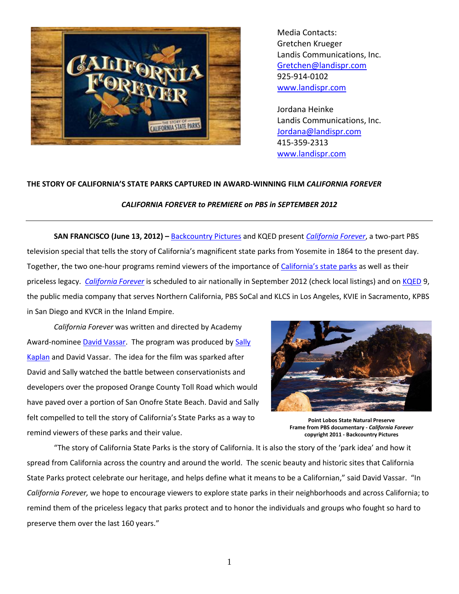

Media Contacts: Gretchen Krueger Landis Communications, Inc. [Gretchen@landispr.com](mailto:Gretchen@landispr.com) 925-914-0102 [www.landispr.com](http://www.landispr.com/)

Jordana Heinke Landis Communications, Inc. [Jordana@landispr.com](mailto:Jordana@landispr.com) 415-359-2313 [www.landispr.com](http://www.landispr.com/)

## **THE STORY OF CALIFORNIA'S STATE PARKS CAPTURED IN AWARD-WINNING FILM** *CALIFORNIA FOREVER*

## *CALIFORNIA FOREVER to PREMIERE on PBS in SEPTEMBER 2012*

**SAN FRANCISCO (June 13, 2012) –** [Backcountry Pictures](http://www.backcountrypictures.com/) and KQED present *[California Forever](http://www.cal4ever.com/)*, a two-part PBS television special that tells the story of California's magnificent state parks from Yosemite in 1864 to the present day. Together, the two one-hour programs remind viewers of the importance of [California's state parks](http://www.parks.ca.gov/) as well as their priceless legacy. *[California Forever](http://www.cal4ever.com/)* is scheduled to air nationally in September 2012 (check local listings) and on [KQED](http://www.kqed.org/) 9, the public media company that serves Northern California, PBS SoCal and KLCS in Los Angeles, KVIE in Sacramento, KPBS in San Diego and KVCR in the Inland Empire.

*California Forever* was written and directed by Academy Award-nominee [David Vassar.](http://www.backcountrypictures.com/) The program was produced by [Sally](http://www.backcountrypictures.com/)  [Kaplan](http://www.backcountrypictures.com/) and David Vassar. The idea for the film was sparked after David and Sally watched the battle between conservationists and developers over the proposed Orange County Toll Road which would have paved over a portion of San Onofre State Beach. David and Sally felt compelled to tell the story of California's State Parks as a way to remind viewers of these parks and their value.



**Point Lobos State Natural Preserve Frame from PBS documentary -** *California Forever* **copyright 2011 - Backcountry Pictures**

"The story of California State Parks is the story of California. It is also the story of the 'park idea' and how it spread from California across the country and around the world. The scenic beauty and historic sites that California State Parks protect celebrate our heritage, and helps define what it means to be a Californian," said David Vassar. "In *California Forever,* we hope to encourage viewers to explore state parks in their neighborhoods and across California; to remind them of the priceless legacy that parks protect and to honor the individuals and groups who fought so hard to preserve them over the last 160 years."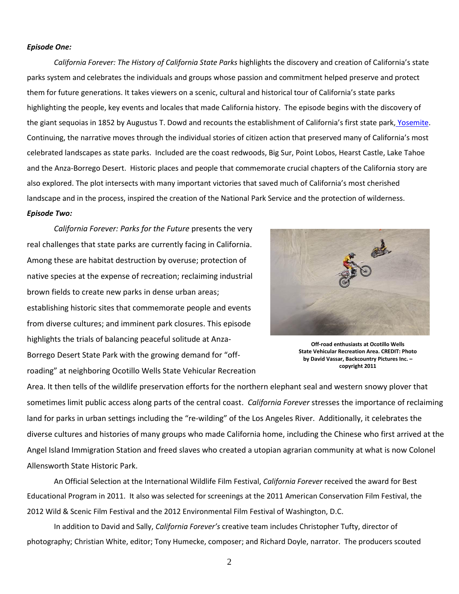## *Episode One:*

*California Forever: The History of California State Parks* highlights the discovery and creation of California's state parks system and celebrates the individuals and groups whose passion and commitment helped preserve and protect them for future generations. It takes viewers on a scenic, cultural and historical tour of California's state parks highlighting the people, key events and locales that made California history. The episode begins with the discovery of the giant sequoias in 1852 by Augustus T. Dowd and recounts the establishment of California's first state park, [Yosemite.](http://www.nps.gov/yose/index.htm) Continuing, the narrative moves through the individual stories of citizen action that preserved many of California's most celebrated landscapes as state parks. Included are the coast redwoods, Big Sur, Point Lobos, Hearst Castle, Lake Tahoe and the Anza-Borrego Desert. Historic places and people that commemorate crucial chapters of the California story are also explored. The plot intersects with many important victories that saved much of California's most cherished landscape and in the process, inspired the creation of the National Park Service and the protection of wilderness. *Episode Two:*

*California Forever: Parks for the Future* presents the very real challenges that state parks are currently facing in California. Among these are habitat destruction by overuse; protection of native species at the expense of recreation; reclaiming industrial brown fields to create new parks in dense urban areas; establishing historic sites that commemorate people and events from diverse cultures; and imminent park closures. This episode highlights the trials of balancing peaceful solitude at Anza-Borrego Desert State Park with the growing demand for "offroading" at neighboring Ocotillo Wells State Vehicular Recreation



**Off-road enthusiasts at Ocotillo Wells State Vehicular Recreation Area. CREDIT: Photo by David Vassar, Backcountry Pictures Inc. – copyright 2011**

Area. It then tells of the wildlife preservation efforts for the northern elephant seal and western snowy plover that sometimes limit public access along parts of the central coast. *California Forever* stresses the importance of reclaiming land for parks in urban settings including the "re-wilding" of the Los Angeles River. Additionally, it celebrates the diverse cultures and histories of many groups who made California home, including the Chinese who first arrived at the Angel Island Immigration Station and freed slaves who created a utopian agrarian community at what is now Colonel Allensworth State Historic Park.

An Official Selection at the International Wildlife Film Festival, *California Forever* received the award for Best Educational Program in 2011. It also was selected for screenings at the 2011 American Conservation Film Festival, the 2012 Wild & Scenic Film Festival and the 2012 Environmental Film Festival of Washington, D.C.

In addition to David and Sally, *California Forever's* creative team includes Christopher Tufty, director of photography; Christian White, editor; Tony Humecke, composer; and Richard Doyle, narrator. The producers scouted